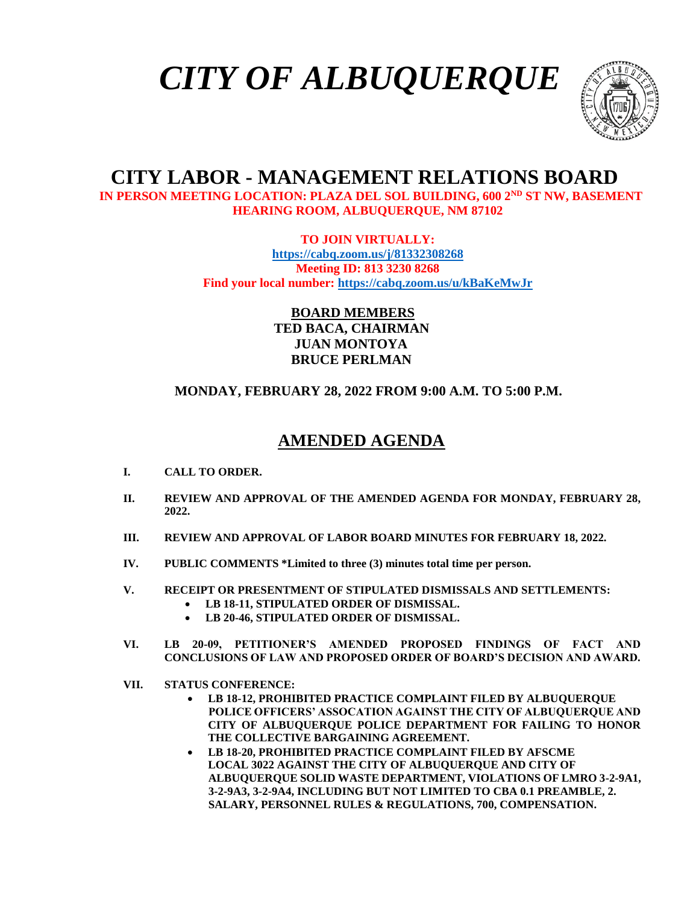# *CITY OF ALBUQUERQUE*



## **CITY LABOR - MANAGEMENT RELATIONS BOARD**

 **IN PERSON MEETING LOCATION: PLAZA DEL SOL BUILDING, 600 2ND ST NW, BASEMENT HEARING ROOM, ALBUQUERQUE, NM 87102**

**TO JOIN VIRTUALLY:**

**<https://cabq.zoom.us/j/81332308268> Meeting ID: 813 3230 8268 Find your local number:<https://cabq.zoom.us/u/kBaKeMwJr>**

> **BOARD MEMBERS TED BACA, CHAIRMAN JUAN MONTOYA BRUCE PERLMAN**

## **MONDAY, FEBRUARY 28, 2022 FROM 9:00 A.M. TO 5:00 P.M.**

## **AMENDED AGENDA**

- **I. CALL TO ORDER.**
- **II. REVIEW AND APPROVAL OF THE AMENDED AGENDA FOR MONDAY, FEBRUARY 28, 2022.**
- **III. REVIEW AND APPROVAL OF LABOR BOARD MINUTES FOR FEBRUARY 18, 2022.**
- **IV. PUBLIC COMMENTS \*Limited to three (3) minutes total time per person.**
- **V. RECEIPT OR PRESENTMENT OF STIPULATED DISMISSALS AND SETTLEMENTS:** • **LB 18-11, STIPULATED ORDER OF DISMISSAL.**
	- **LB 20-46, STIPULATED ORDER OF DISMISSAL.**
- **VI. LB 20-09, PETITIONER'S AMENDED PROPOSED FINDINGS OF FACT AND CONCLUSIONS OF LAW AND PROPOSED ORDER OF BOARD'S DECISION AND AWARD.**
- **VII. STATUS CONFERENCE:**
	- **LB 18-12, PROHIBITED PRACTICE COMPLAINT FILED BY ALBUQUERQUE POLICE OFFICERS' ASSOCATION AGAINST THE CITY OF ALBUQUERQUE AND CITY OF ALBUQUERQUE POLICE DEPARTMENT FOR FAILING TO HONOR THE COLLECTIVE BARGAINING AGREEMENT.**
	- **LB 18-20, PROHIBITED PRACTICE COMPLAINT FILED BY AFSCME LOCAL 3022 AGAINST THE CITY OF ALBUQUERQUE AND CITY OF ALBUQUERQUE SOLID WASTE DEPARTMENT, VIOLATIONS OF LMRO 3-2-9A1, 3-2-9A3, 3-2-9A4, INCLUDING BUT NOT LIMITED TO CBA 0.1 PREAMBLE, 2. SALARY, PERSONNEL RULES & REGULATIONS, 700, COMPENSATION.**